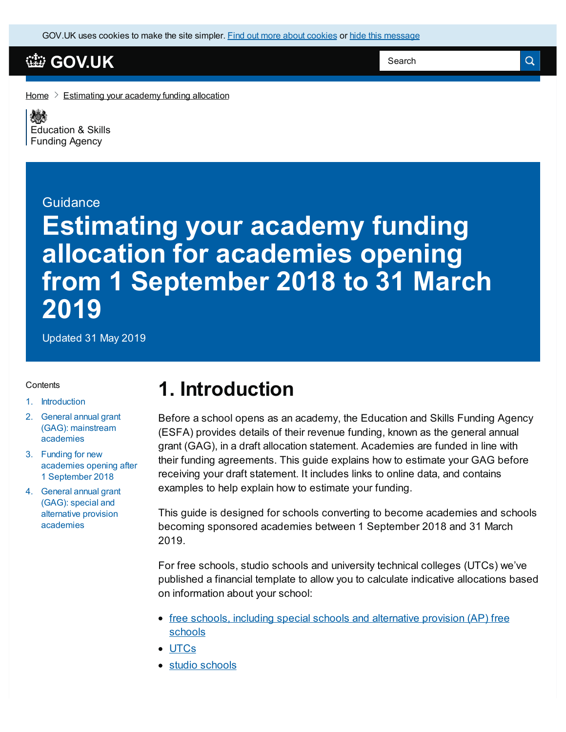GOV.UK uses [cookies](https://www.gov.uk/help/cookies) to make the site simpler. Find out more about cookies or hide this message

## **[GOV.UK](https://www.gov.uk)**

Search

 $\alpha$ 

#### [Home](https://www.gov.uk/)  $\geq$  [Estimating](https://www.gov.uk/government/publications/estimating-your-academy-funding-allocation) your academy funding allocation

《参 [Education](https://www.gov.uk/government/organisations/education-and-skills-funding-agency) & Skills Funding Agency

#### **Guidance**

# **Estimating your academy funding allocation for academies opening from 1 September 2018 to 31 March 2019**

Updated 31 May 2019

#### **Contents**

- 1. [Introduction](#page-0-0)
- 2. General annual grant (GAG): [mainstream](#page-1-0) academies
- 3. Funding for new [academies](#page-2-0) opening after 1 September 2018
- 4. General annual grant (GAG): special and alternative provision [academies](#page-5-0)

# <span id="page-0-0"></span>**1. Introduction**

Before a school opens as an academy, the Education and Skills Funding Agency (ESFA) provides details of their revenue funding, known as the general annual grant (GAG), in a draft allocation statement. Academies are funded in line with their funding agreements. This guide explains how to estimate your GAG before receiving your draft statement. It includes links to online data, and contains examples to help explain how to estimate your funding.

This guide is designed for schools converting to become academies and schools becoming sponsored academies between 1 September 2018 and 31 March 2019.

For free schools, studio schools and university technical colleges (UTCs) we've published a financial template to allow you to calculate indicative allocations based on information about your school:

- free schools, including special schools and [alternative](https://www.gov.uk/government/collections/opening-a-free-school) provision (AP) free schools
- [UTCs](https://www.gov.uk/government/collections/opening-a-utc)
- studio [schools](https://www.gov.uk/government/collections/opening-a-free-school)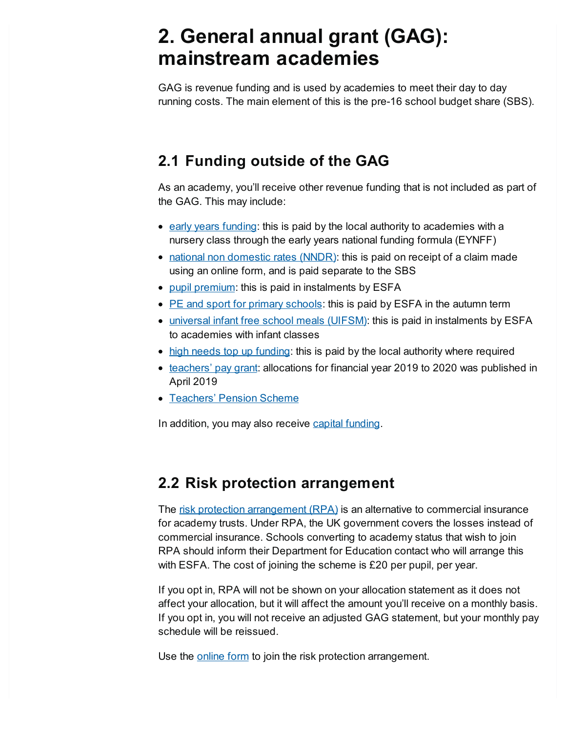# <span id="page-1-0"></span>**2. General annual grant (GAG): mainstream academies**

GAG is revenue funding and is used by academies to meet their day to day running costs. The main element of this is the pre-16 school budget share (SBS).

# **2.1 Funding outside of the GAG**

As an academy, you'll receive other revenue funding that is not included as part of the GAG. This may include:

- early years [funding](https://www.gov.uk/government/publications/early-years-national-funding-formula-allocations-and-guidance): this is paid by the local authority to academies with a nursery class through the early years national funding formula (EYNFF)
- national non [domestic](https://www.gov.uk/guidance/academies-funding-claims) rates (NNDR): this is paid on receipt of a claim made using an online form, and is paid separate to the SBS
- pupil [premium](https://www.gov.uk/guidance/pupil-premium-information-for-schools-and-alternative-provision-settings): this is paid in instalments by ESFA
- PE and sport for primary [schools](https://www.gov.uk/guidance/pe-and-sport-premium-for-primary-schools): this is paid by ESFA in the autumn term
- [universal](https://www.gov.uk/government/publications/universal-infant-free-school-meals-uifsm-funding-allocations-2018-to-2019) infant free school meals (UIFSM): this is paid in instalments by ESFA to academies with infant classes
- high needs top up [funding](https://www.gov.uk/government/publications/high-needs-funding-arrangements-2018-to-2019): this is paid by the local authority where required
- [teachers'](https://www.gov.uk/government/publications/teachers-pay-grant-methodology/teachers-pay-grant-methodology) pay grant: allocations for financial year 2019 to 2020 was published in April 2019
- [Teachers'](https://www.gov.uk/government/consultations/funding-increases-to-teachers-pensions-employer-contributions) Pension Scheme

In addition, you may also receive capital [funding](https://www.gov.uk/government/collections/academies-funding-payments-and-compliance#academies-capital-funding).

### **2.2 Risk protection arrangement**

The risk protection [arrangement](https://www.gov.uk/government/publications/risk-protection-arrangement-rpa-for-academy-trusts-membership-rules) (RPA) is an alternative to commercial insurance for academy trusts. Under RPA, the UK government covers the losses instead of commercial insurance. Schools converting to academy status that wish to join RPA should inform their Department for Education contact who will arrange this with ESFA. The cost of joining the scheme is £20 per pupil, per year.

If you opt in, RPA will not be shown on your allocation statement as it does not affect your allocation, but it will affect the amount you'll receive on a monthly basis. If you opt in, you will not receive an adjusted GAG statement, but your monthly pay schedule will be reissued.

Use the [online](https://form.education.gov.uk/fillform.php?self=1&form_id=QUse74vAYCG) form to join the risk protection arrangement.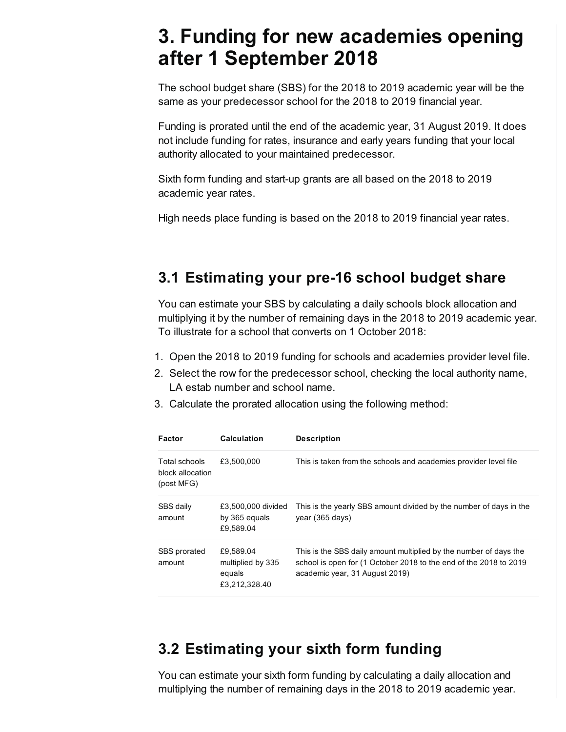# <span id="page-2-0"></span>**3. Funding for new academies opening after 1 September 2018**

The school budget share (SBS) for the 2018 to 2019 academic year will be the same as your predecessor school for the 2018 to 2019 financial year.

Funding is prorated until the end of the academic year, 31 August 2019. It does not include funding for rates, insurance and early years funding that your local authority allocated to your maintained predecessor.

Sixth form funding and start-up grants are all based on the 2018 to 2019 academic year rates.

High needs place funding is based on the 2018 to 2019 financial year rates.

#### **3.1 Estimating your pre-16 school budget share**

You can estimate your SBS by calculating a daily schools block allocation and multiplying it by the number of remaining days in the 2018 to 2019 academic year. To illustrate for a school that converts on 1 October 2018:

- 1. Open the 2018 to 2019 funding for schools and academies provider level file.
- 2. Select the row for the predecessor school, checking the local authority name, LA estab number and school name.
- 3. Calculate the prorated allocation using the following method:

| Factor                                          | <b>Calculation</b>                                        | <b>Description</b>                                                                                                                                                       |
|-------------------------------------------------|-----------------------------------------------------------|--------------------------------------------------------------------------------------------------------------------------------------------------------------------------|
| Total schools<br>block allocation<br>(post MFG) | £3.500.000                                                | This is taken from the schools and academies provider level file                                                                                                         |
| SBS daily<br>amount                             | £3,500,000 divided<br>by 365 equals<br>£9.589.04          | This is the yearly SBS amount divided by the number of days in the<br>year (365 days)                                                                                    |
| SBS prorated<br>amount                          | £9,589.04<br>multiplied by 335<br>equals<br>£3,212,328.40 | This is the SBS daily amount multiplied by the number of days the<br>school is open for (1 October 2018 to the end of the 2018 to 2019<br>academic year, 31 August 2019) |

#### **3.2 Estimating your sixth form funding**

You can estimate your sixth form funding by calculating a daily allocation and multiplying the number of remaining days in the 2018 to 2019 academic year.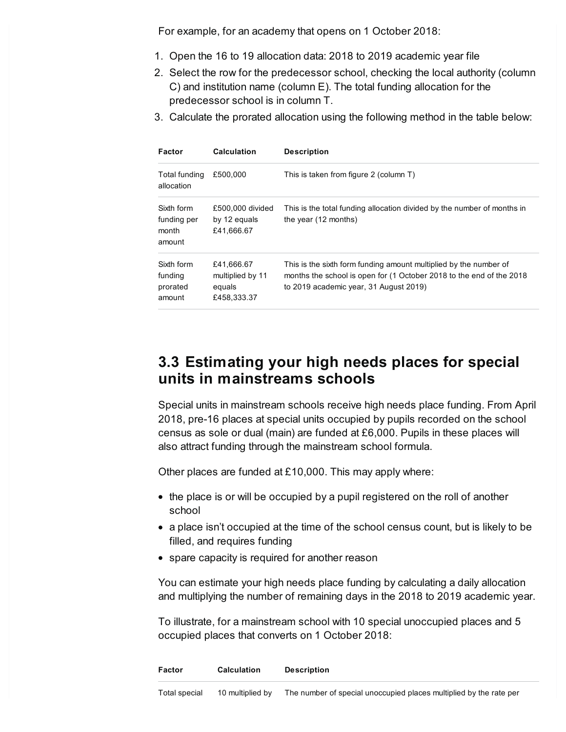For example, for an academy that opens on 1 October 2018:

- 1. Open the 16 to 19 allocation data: 2018 to 2019 academic year file
- 2. Select the row for the predecessor school, checking the local authority (column C) and institution name (column E). The total funding allocation for the predecessor school is in column T.
- 3. Calculate the prorated allocation using the following method in the table below:

| Factor                                       | <b>Calculation</b>                                      | <b>Description</b>                                                                                                                                                                  |
|----------------------------------------------|---------------------------------------------------------|-------------------------------------------------------------------------------------------------------------------------------------------------------------------------------------|
| Total funding<br>allocation                  | £500.000                                                | This is taken from figure 2 (column T)                                                                                                                                              |
| Sixth form<br>funding per<br>month<br>amount | £500,000 divided<br>by 12 equals<br>£41,666.67          | This is the total funding allocation divided by the number of months in<br>the year $(12 \text{ months})$                                                                           |
| Sixth form<br>funding<br>prorated<br>amount  | £41,666.67<br>multiplied by 11<br>equals<br>£458,333.37 | This is the sixth form funding amount multiplied by the number of<br>months the school is open for (1 October 2018 to the end of the 2018<br>to 2019 academic year, 31 August 2019) |

#### **3.3 Estimating your high needs places for special units in mainstreams schools**

Special units in mainstream schools receive high needs place funding. From April 2018, pre-16 places at special units occupied by pupils recorded on the school census as sole or dual (main) are funded at £6,000. Pupils in these places will also attract funding through the mainstream school formula.

Other places are funded at £10,000. This may apply where:

- the place is or will be occupied by a pupil registered on the roll of another school
- a place isn't occupied at the time of the school census count, but is likely to be filled, and requires funding
- spare capacity is required for another reason

You can estimate your high needs place funding by calculating a daily allocation and multiplying the number of remaining days in the 2018 to 2019 academic year.

To illustrate, for a mainstream school with 10 special unoccupied places and 5 occupied places that converts on 1 October 2018: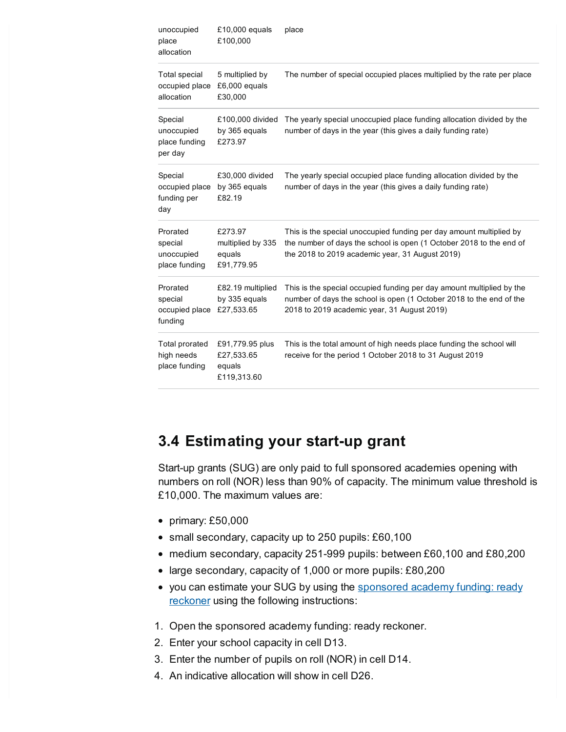| unoccupied<br>place<br>allocation                                                                   | £10,000 equals<br>£100,000                             | place                                                                                                                                                                                         |  |
|-----------------------------------------------------------------------------------------------------|--------------------------------------------------------|-----------------------------------------------------------------------------------------------------------------------------------------------------------------------------------------------|--|
| <b>Total special</b><br>5 multiplied by<br>£6,000 equals<br>occupied place<br>allocation<br>£30,000 |                                                        | The number of special occupied places multiplied by the rate per place                                                                                                                        |  |
| Special<br>unoccupied<br>place funding<br>per day                                                   | £100,000 divided<br>by 365 equals<br>£273.97           | The yearly special unoccupied place funding allocation divided by the<br>number of days in the year (this gives a daily funding rate)                                                         |  |
| Special<br>occupied place<br>funding per<br>day                                                     | £30,000 divided<br>by 365 equals<br>£82.19             | The yearly special occupied place funding allocation divided by the<br>number of days in the year (this gives a daily funding rate)                                                           |  |
| Prorated<br>special<br>unoccupied<br>place funding                                                  | £273.97<br>multiplied by 335<br>equals<br>£91,779.95   | This is the special unoccupied funding per day amount multiplied by<br>the number of days the school is open (1 October 2018 to the end of<br>the 2018 to 2019 academic year, 31 August 2019) |  |
| Prorated<br>special<br>occupied place<br>funding                                                    | £82.19 multiplied<br>by 335 equals<br>£27,533.65       | This is the special occupied funding per day amount multiplied by the<br>number of days the school is open (1 October 2018 to the end of the<br>2018 to 2019 academic year, 31 August 2019)   |  |
| <b>Total prorated</b><br>high needs<br>place funding                                                | £91,779.95 plus<br>£27,533.65<br>equals<br>£119,313.60 | This is the total amount of high needs place funding the school will<br>receive for the period 1 October 2018 to 31 August 2019                                                               |  |

#### **3.4 Estimating your start-up grant**

Start-up grants (SUG) are only paid to full sponsored academies opening with numbers on roll (NOR) less than 90% of capacity. The minimum value threshold is £10,000. The maximum values are:

- primary: £50,000
- small secondary, capacity up to 250 pupils: £60,100
- medium secondary, capacity 251-999 pupils: between £60,100 and £80,200
- large secondary, capacity of 1,000 or more pupils: £80,200
- you can estimate your SUG by using the sponsored academy funding: ready reckoner using the following [instructions:](https://www.gov.uk/government/publications/sponsored-academies-funding-guidance-for-sponsors)
- 1. Open the sponsored academy funding: ready reckoner.
- 2. Enter your school capacity in cell D13.
- 3. Enter the number of pupils on roll (NOR) in cell D14.
- 4. An indicative allocation will show in cell D26.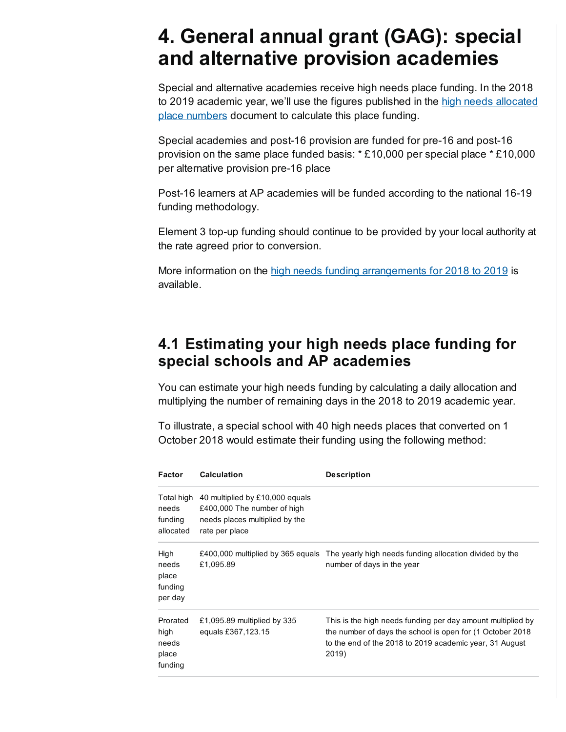# <span id="page-5-0"></span>**4. General annual grant (GAG): special and alternative provision academies**

Special and alternative academies receive high needs place funding. In the 2018 to 2019 academic year, we'll use the figures [published](https://www.gov.uk/government/publications/high-needs-allocated-place-numbers) in the high needs allocated place numbers document to calculate this place funding.

Special academies and post-16 provision are funded for pre-16 and post-16 provision on the same place funded basis: \* £10,000 per special place \* £10,000 per alternative provision pre-16 place

Post-16 learners at AP academies will be funded according to the national 16-19 funding methodology.

Element 3 top-up funding should continue to be provided by your local authority at the rate agreed prior to conversion.

More information on the high needs funding [arrangements](https://www.gov.uk/government/publications/high-needs-funding-arrangements-2018-to-2019) for 2018 to 2019 is available.

#### **4.1 Estimating your high needs place funding for special schools and AP academies**

You can estimate your high needs funding by calculating a daily allocation and multiplying the number of remaining days in the 2018 to 2019 academic year.

To illustrate, a special school with 40 high needs places that converted on 1 October 2018 would estimate their funding using the following method:

| Factor                                        | <b>Calculation</b>                                                                                                 | <b>Description</b>                                                                                                                                                                           |
|-----------------------------------------------|--------------------------------------------------------------------------------------------------------------------|----------------------------------------------------------------------------------------------------------------------------------------------------------------------------------------------|
| Total high<br>needs<br>funding<br>allocated   | 40 multiplied by £10,000 equals<br>£400,000 The number of high<br>needs places multiplied by the<br>rate per place |                                                                                                                                                                                              |
| High<br>needs<br>place<br>funding<br>per day  | £1,095.89                                                                                                          | £400,000 multiplied by 365 equals The yearly high needs funding allocation divided by the<br>number of days in the year                                                                      |
| Prorated<br>high<br>needs<br>place<br>funding | £1,095.89 multiplied by 335<br>equals £367,123.15                                                                  | This is the high needs funding per day amount multiplied by<br>the number of days the school is open for (1 October 2018<br>to the end of the 2018 to 2019 academic year, 31 August<br>2019) |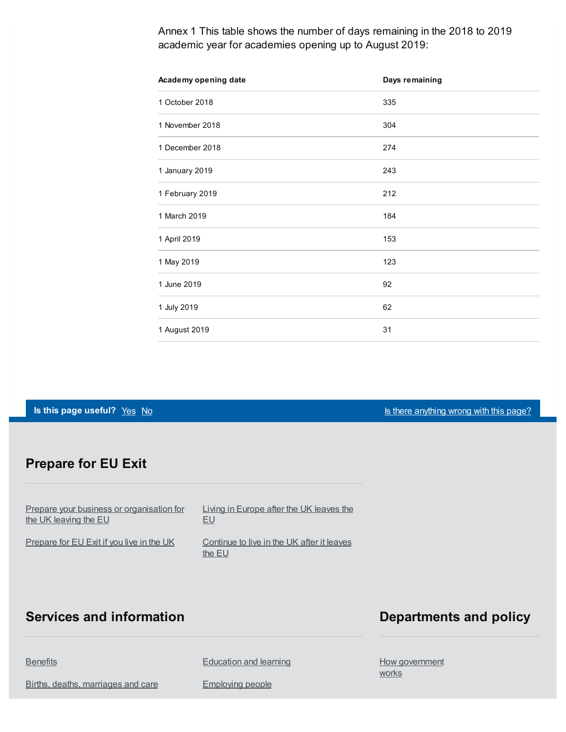Annex 1 This table shows the number of days remaining in the 2018 to 2019 academic year for academies opening up to August 2019:

| Academy opening date | Days remaining |
|----------------------|----------------|
| 1 October 2018       | 335            |
| 1 November 2018      | 304            |
| 1 December 2018      | 274            |
| 1 January 2019       | 243            |
| 1 February 2019      | 212            |
| 1 March 2019         | 184            |
| 1 April 2019         | 153            |
| 1 May 2019           | 123            |
| 1 June 2019          | 92             |
| 1 July 2019          | 62             |
| 1 August 2019        | 31             |

**Is this page useful?** [Yes](https://www.gov.uk/contact/govuk) [No](https://www.gov.uk/contact/govuk) Is there [anything](https://www.gov.uk/contact/govuk) wrong with this page?

#### **Prepare for EU Exit**

Prepare your business or [organisation](https://www.gov.uk/business-uk-leaving-eu) for the UK leaving the EU

[Prepare](https://www.gov.uk/prepare-eu-exit) for EU Exit if you live in the UK

Living in [Europe](https://www.gov.uk/uk-nationals-living-eu) after the UK leaves the EU

[Continue](https://www.gov.uk/staying-uk-eu-citizen) to live in the UK after it leaves the EU

#### **Services and information**

#### **Departments and policy**

**[Benefits](https://www.gov.uk/browse/benefits)** 

Births, deaths, [marriages](https://www.gov.uk/browse/births-deaths-marriages) and care

[Education](https://www.gov.uk/browse/education) and learning

[Employing](https://www.gov.uk/browse/employing-people) people

How [government](https://www.gov.uk/government/how-government-works) **works**